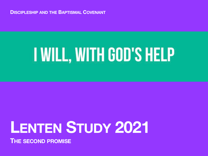**DISCIPLESHIP AND THE BAPTISMAL COVENANT**

# **I WILL, WITH GOD'S HELP**

# **LENTEN STUDY 2021**

**THE SECOND PROMISE**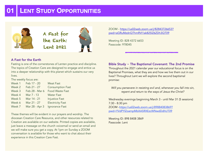

#### A Fast for the Earth

Fasting is one of the cornerstones of Lenten practice and discipline. The topics of Creation Care are designed to engage and entice us into a deeper relationship with this planet which sustains our very lives.

The weekly focus are:

| Week 1 | Feb 17 - 20    | <b>Meat Fast</b>        |
|--------|----------------|-------------------------|
| Week 2 | Feb 21 - 27    | <b>Consumption Fast</b> |
| Week 3 | Feb 28 - Mar 6 | <b>Food Waste Fast</b>  |
| Week 4 | Mar 7 - 13     | <b>Water Fast</b>       |
| Week 5 | Mar 14 - 21    | <b>Injustice Fast</b>   |
| Week 6 | Mar 21 - 27    | <b>Electricity Fast</b> |
| Week 7 | Mar 28 - Apr 3 | <b>Ignorance Fast</b>   |

These themes will be evident in our prayers and worship. The diocesan Creation Care Resource, and other resources related to Creation are available on our website. Printed copies are available, just leave a message on the church voicemail or send an email and we will make sure you get a copy. At 1pm on Sunday a ZOOM conversation is available for those who want to chat about their experience in this Creation Care Fast.

[ZOOM - https://us02web.zoom.us/j/82843726653?](https://us02web.zoom.us/j/82843726653?pwd=aGRuMzdnQThmRVI1ak82SlZ6ZDh3QT09) [pwd=aGRuMzdnQThmRVI1ak82SlZ6ZDh3QT09](https://us02web.zoom.us/j/82843726653?pwd=aGRuMzdnQThmRVI1ak82SlZ6ZDh3QT09)

Meeting ID: 828 4372 6653 Passcode: 978045

### Bible Study ~ The Baptismal Covenant: The 2nd Promise

Throughout the 2021 calendar year our educational focus is on the Baptismal Promises, what they are and how we live them out in our lives? Throughout Lent we will explore the second baptismal promise:

*Will you persevere in resisting evil and, whenever you fall into sin, repent and return to the ways of Jesus the Christ?*

Wednesday evenings beginning March 3 - until Mar 31 (5 sessions) 7:30 - 8:30 pm

[ZOOM -https://us02web.zoom.us/j/89884083869?](https://us02web.zoom.us/j/89884083869?pwd=YVdPYlZoampMbXA5RXEzcWNwdDdhUT09) [pwd=YVdPYlZoampMbXA5RXEzcWNwdDdhUT09](https://us02web.zoom.us/j/89884083869?pwd=YVdPYlZoampMbXA5RXEzcWNwdDdhUT09)

Meeting ID: 898 8408 3869 Passcode: Lent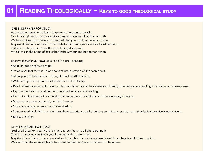#### OPENING PRAYER FOR STUDY

As we gather together to learn, to grow and to change we ask; Gracious God, help us to move into a deeper understanding of your truth. We lay our lives down before you and ask that you would move amongst us. May we all feel safe with each other. Safe to think and question, safe to ask for help, and safe to share our lives with each other and with you. We ask this in the name of Jesus the Christ, Saviour and Redeemer. Amen.

Best Practices for your own study and in a group setting.

- Keep an open heart and mind.
- Remember that there is no one correct interpretation of the sacred text.
- Allow yourself to hear others thoughts, and heartfelt beliefs.
- Welcome questions, ask lots of questions. Listen deeply.
- Read different versions of the sacred text and take note of the differences. Identify whether you are reading a translation or a paraphrase.
- Explore the historical and cultural context of what you are reading.
- Consult a wide theological diversity of commentaries. Traditional and contemporary thoughts.
- Make study a regular part of your faith journey.
- Share only what you feel comfortable sharing.
- Remember that all faith is a living breathing experience and changing our mind or position on a theological premise is not a failure.
- End with Prayer.

#### CLOSING PRAYER FOR STUDY

God of all Creation, your word is a lamp to our feet and a light to our path.

Thank you that we can live in your light and walk in your truth.

May the things that you have revealed and thoughts that we have shared dwell in our hearts and stir us to action.

We ask this in the name of Jesus the Christ, Redeemer, Saviour, Pattern of Life. Amen.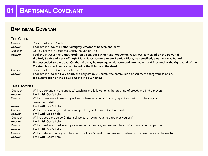# **BAPTISMAL COVENANT**

## THE CREED

| Question      | Do you believe in God?                                                                                                   |
|---------------|--------------------------------------------------------------------------------------------------------------------------|
| <b>Answer</b> | I believe in God, the Father almighty, creator of heaven and earth.                                                      |
| Question      | Do you believe in Jesus the Christ, the Son of God?                                                                      |
| <b>Answer</b> | I believe in Jesus the Christ, God's only Son, our Saviour and Redeemer. Jesus was conceived by the power of             |
|               | the Holy Spirit and born of Virgin Mary. Jesus suffered under Pontius Pilate, was crucified, died, and was buried.       |
|               | He descended to the dead. On the third day he rose again. He ascended into heaven and is seated at the right hand of the |
|               | Creator. Jesus will come again to judge the living and the dead.                                                         |
| Question      | Do you believe in God the Holy Spirit?                                                                                   |
| <b>Answer</b> | I believe in God the Holy Spirit, the holy catholic Church, the communion of saints, the forgiveness of sin,             |
|               | the resurrection of the body, and the life everlasting.                                                                  |

# **THE PROMISES**

| Question      | Will you continue in the apostles' teaching and fellowship, in the breaking of bread, and in the prayers?           |
|---------------|---------------------------------------------------------------------------------------------------------------------|
| <b>Answer</b> | I will with God's help.                                                                                             |
| Question      | Will you persevere in resisting evil and, whenever you fall into sin, repent and return to the ways of              |
|               | Jesus the Christ?                                                                                                   |
| <b>Answer</b> | I will with God's help.                                                                                             |
| Question      | Will you proclaim by word and example the good news of God in Christ?                                               |
| <b>Answer</b> | I will with God's help.                                                                                             |
| Question      | Will you seek and serve Christ in all persons, loving your neighbour as yourself?                                   |
| <b>Answer</b> | I will with God's help.                                                                                             |
| Question      | Will you strive for justice and peace among all people, and respect the dignity of every human person.              |
| <b>Answer</b> | I will with God's help.                                                                                             |
| Question      | Will you strive to safeguard the integrity of God's creation and respect, sustain, and renew the life of the earth? |
| <b>Answer</b> | will with God's help.                                                                                               |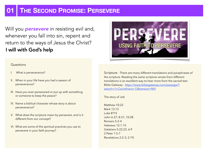# **THE SECOND PROMISE: PERSEVERE**

Will you *persevere* in resisting evil and, whenever you fall into sin, repent and return to the ways of Jesus the Christ? I will with God's help

#### **Questions**

- I. What is perseverance?
- II. When in your life have you had a season of perseverance?
- III. Have you ever persevered or put up with something or someone to keep the peace?
- IV. Name a biblical character whose story is about perseverance?
- V. What does the scripture mean by persevere, and is it different from our concept?
- VI. What are some of the spiritual practices you use to persevere in your faith journey?

Scripture - There are many different translations and paraphrases of the scripture. Reading the same scripture verses from different translations is an excellent way to hear more from the sacred text. [Bible Gateway - https://www.biblegateway.com/passage/?](https://www.biblegateway.com/passage/?search=1+Corinthians+15&version=NIV) [search=1+Corinthians+15&version=NIV](https://www.biblegateway.com/passage/?search=1+Corinthians+15&version=NIV)

The story of Job

Matthew 10:22 Mark 13:13 Luke 8?15 John 6:37; 8:31; 10:28 Romans 5:2-4 Hebrews 12:1-15 Galatians 5:22,23; 6:9 2 Peter 1:5-7 Revelations 2:2-3; 2:19;

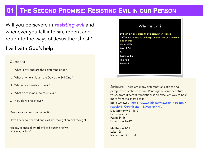# **01 THE SECOND PROMISE: RESISTING EVIL IN OUR PERSON**

Will you persevere in *resisting evil* and, whenever you fall into sin, repent and return to the ways of Jesus the Christ?

# I will with God's help

#### **Questions**

- What is evil and are their different kinds?
- II. What or who is Satan, the Devil, the Evil One?
- III. Who is responsible for evil?
- IV. What does it mean to resist evil?
- V. How do we resist evil?
- Questions for personal reflection
- Have I ever committed and evil act, thought an evil thought?

Has my silence allowed evil to flourish? How? Why was I silent?

# What is Evil?

Evil: an act or person that is corrupt or wicked Suffering: having to undergo unpleasant or traumatic experiences **Natural Evil Moral Evil** Sin Original Sin **The Fall** Freewill

Scripture - There are many different translations and paraphrases of the scripture. Reading the same scripture verses from different translations is an excellent way to hear more from the sacred text.

[Bible Gateway - https://www.biblegateway.com/passage/?](https://www.biblegateway.com/passage/?search=1+Corinthians+15&version=NIV) [search=1+Corinthians+15&version=NIV](https://www.biblegateway.com/passage/?search=1+Corinthians+15&version=NIV)

Deuteronomy 21:18-21 Leviticus 20:23 Psalm 34:16 Proverbs 6:16-19

Matthew 4:1-11 Luke 12:1 Romans 6:23; 13:1-4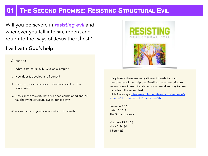# **THE SECOND PROMISE: RESISTING STRUCTURAL EVIL**

Will you persevere in *resisting evil* and, whenever you fall into sin, repent and return to the ways of Jesus the Christ?

# I will with God's help

#### **Questions**

- What is structural evil? Give an example?
- II. How does is develop and flourish?
- III. Can you give an example of structural evil from the scriptures?
- IV. How can we resist it? Have we been conditioned and/or taught by the structural evil in our society?

What questions do you have about structural evil?



Scripture - There are many different translations and paraphrases of the scripture. Reading the same scripture verses from different translations is an excellent way to hear more from the sacred text. [Bible Gateway - https://www.biblegateway.com/passage/?](https://www.biblegateway.com/passage/?search=1+Corinthians+15&version=NIV) [search=1+Corinthians+15&version=NIV](https://www.biblegateway.com/passage/?search=1+Corinthians+15&version=NIV)

Proverbs 17:13 Isaiah 10:1-4 The Story of Joseph

Matthew 15:21-28 Mark 7:24-30 1 Peter 3:9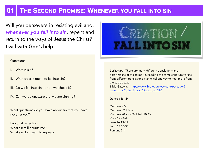# **01 THE SECOND PROMISE: WHENEVER YOU FALL INTO SIN**

Will you persevere in resisting evil and, *whenever you fall into sin*, repent and return to the ways of Jesus the Christ? I will with God's help

#### **Questions**

- What is sin?
- II. What does it mean to fall into sin?
- III. Do we fall into sin or do we chose it?
- IV. Can we be unaware that we are sinning?

What questions do you have about sin that you have never asked?

Personal reflection What sin still haunts me? What sin do I seem to repeat?

# LL INTO SI

Scripture - There are many different translations and paraphrases of the scripture. Reading the same scripture verses from different translations is an excellent way to hear more from the sacred text.

[Bible Gateway - https://www.biblegateway.com/passage/?](https://www.biblegateway.com/passage/?search=1+Corinthians+15&version=NIV) [search=1+Corinthians+15&version=NIV](https://www.biblegateway.com/passage/?search=1+Corinthians+15&version=NIV)

Genesis 3:1-24

Matthew 7:5 Matthew 22:13-39 Matthew 20:25 - 28; Mark 10:45 Mark 12:41-44 Luke 16:19-31 John 13:34-35 Romans 2:1